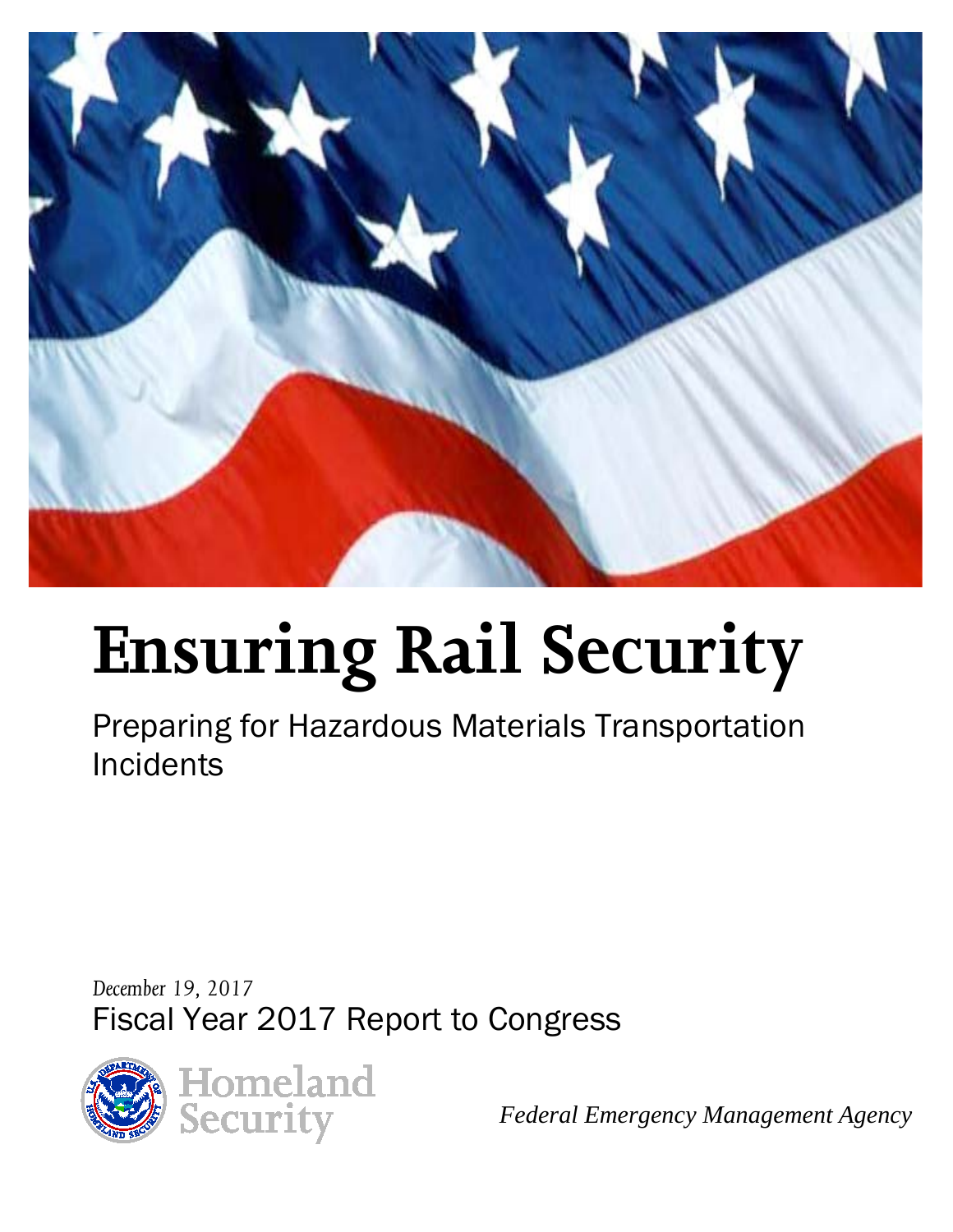

# **Ensuring Rail Security**

Preparing for Hazardous Materials Transportation **Incidents** 

*December 19, 2017* Fiscal Year 2017 Report to Congress



*Federal Emergency Management Agency*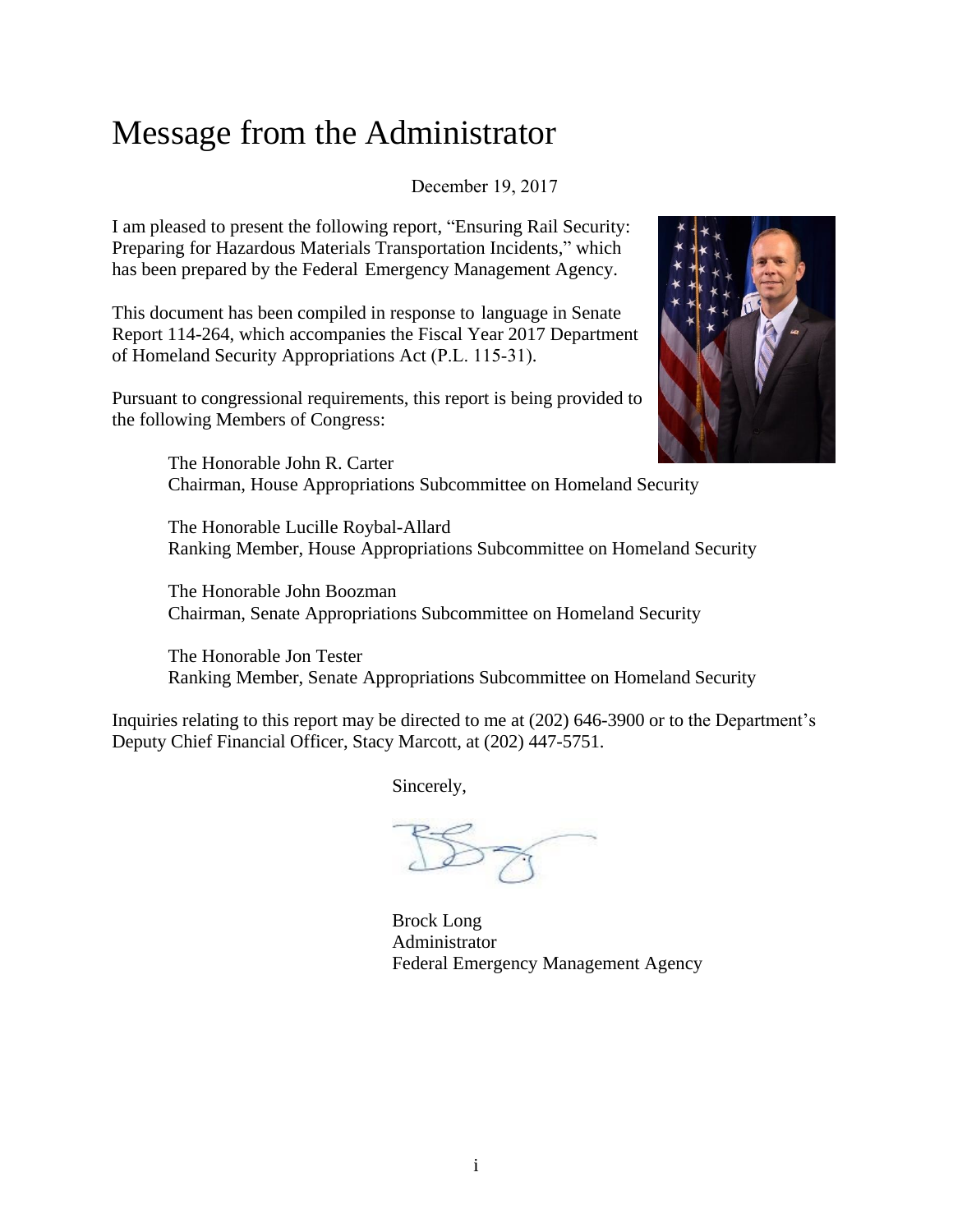# Message from the Administrator

December 19, 2017

I am pleased to present the following report, "Ensuring Rail Security: Preparing for Hazardous Materials Transportation Incidents," which has been prepared by the Federal Emergency Management Agency.

This document has been compiled in response to language in Senate Report 114-264, which accompanies the Fiscal Year 2017 Department of Homeland Security Appropriations Act (P.L. 115-31).

Pursuant to congressional requirements, this report is being provided to the following Members of Congress:



The Honorable John R. Carter Chairman, House Appropriations Subcommittee on Homeland Security

The Honorable Lucille Roybal-Allard Ranking Member, House Appropriations Subcommittee on Homeland Security

The Honorable John Boozman Chairman, Senate Appropriations Subcommittee on Homeland Security

The Honorable Jon Tester Ranking Member, Senate Appropriations Subcommittee on Homeland Security

Inquiries relating to this report may be directed to me at (202) 646-3900 or to the Department's Deputy Chief Financial Officer, Stacy Marcott, at (202) 447-5751.

Sincerely,

Brock Long Administrator Federal Emergency Management Agency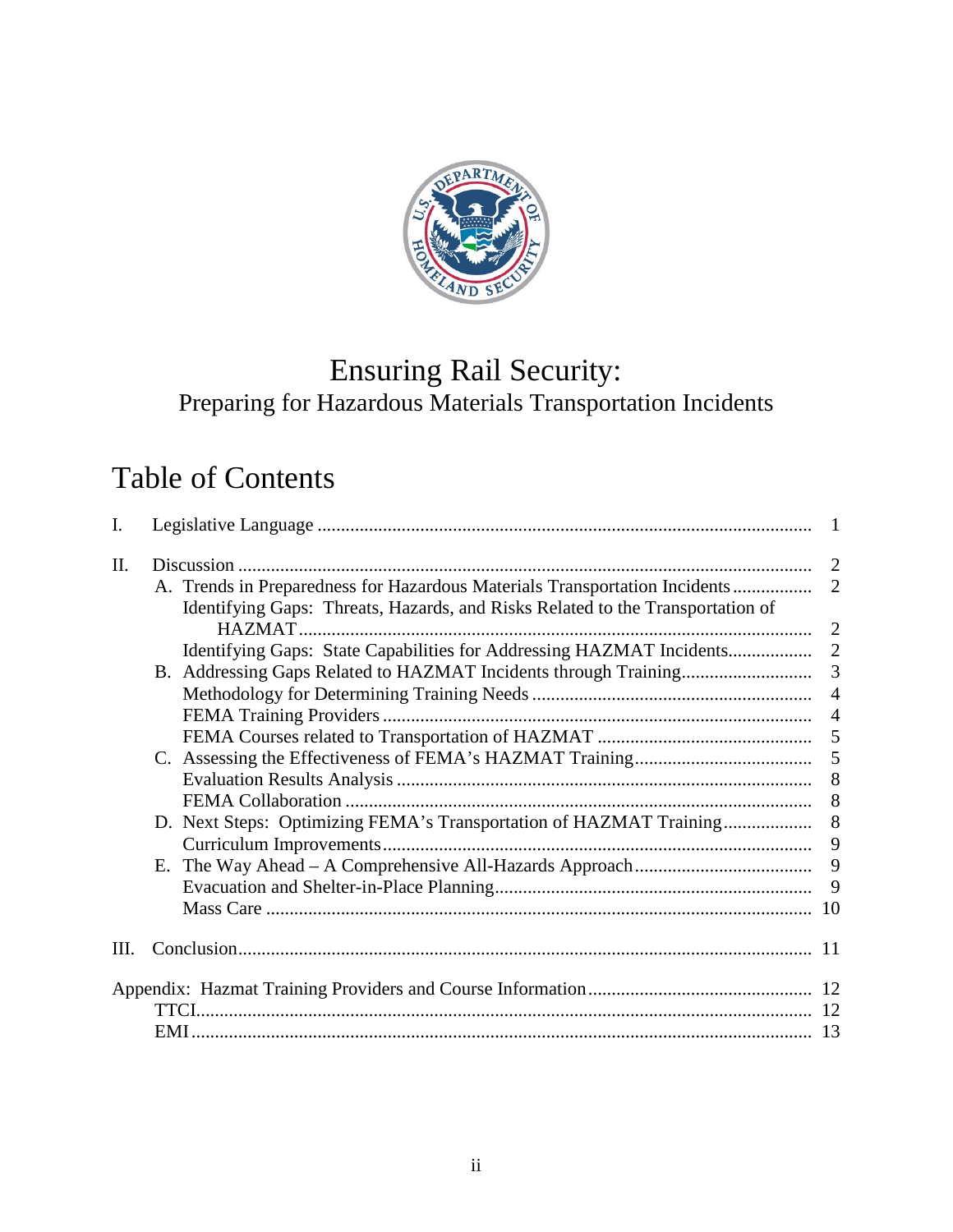

# Ensuring Rail Security: Preparing for Hazardous Materials Transportation Incidents

# Table of Contents

| I.   |                                                                                | $\blacksquare$ |
|------|--------------------------------------------------------------------------------|----------------|
| Π.   |                                                                                | 2              |
|      | Identifying Gaps: Threats, Hazards, and Risks Related to the Transportation of | $\overline{2}$ |
|      |                                                                                | $\overline{2}$ |
|      | Identifying Gaps: State Capabilities for Addressing HAZMAT Incidents           | 2              |
|      |                                                                                | $\overline{3}$ |
|      |                                                                                | $\overline{4}$ |
|      |                                                                                | $\overline{4}$ |
|      |                                                                                | 5              |
|      |                                                                                | 5              |
|      |                                                                                | 8              |
|      |                                                                                | 8              |
|      | D. Next Steps: Optimizing FEMA's Transportation of HAZMAT Training             | 8              |
|      |                                                                                | 9              |
|      |                                                                                | 9              |
|      |                                                                                | 9              |
|      |                                                                                |                |
| III. |                                                                                |                |
|      |                                                                                |                |
|      |                                                                                |                |
|      |                                                                                |                |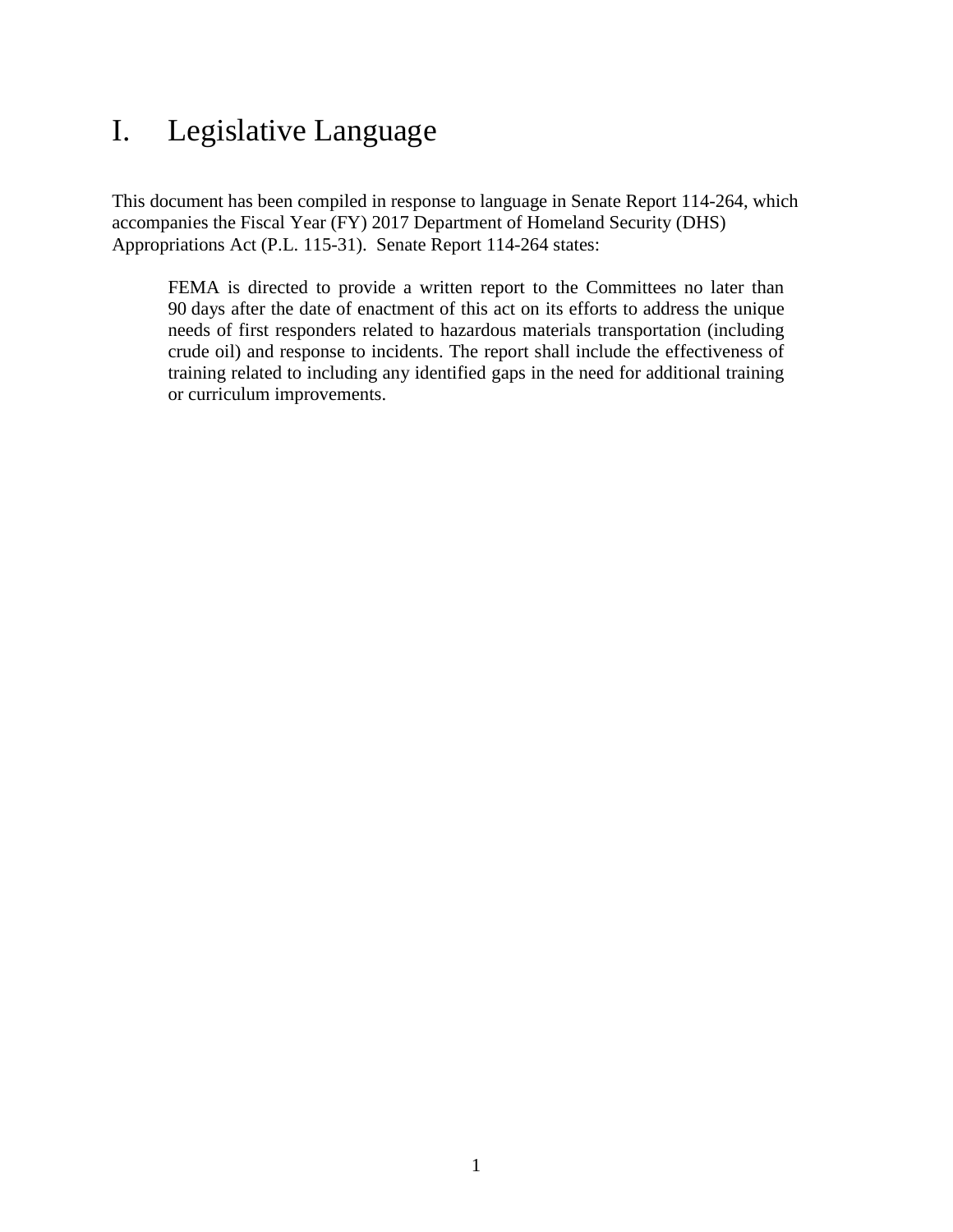# <span id="page-3-0"></span>I. Legislative Language

This document has been compiled in response to language in Senate Report 114-264, which accompanies the Fiscal Year (FY) 2017 Department of Homeland Security (DHS) Appropriations Act (P.L. 115-31). Senate Report 114-264 states:

FEMA is directed to provide a written report to the Committees no later than 90 days after the date of enactment of this act on its efforts to address the unique needs of first responders related to hazardous materials transportation (including crude oil) and response to incidents. The report shall include the effectiveness of training related to including any identified gaps in the need for additional training or curriculum improvements.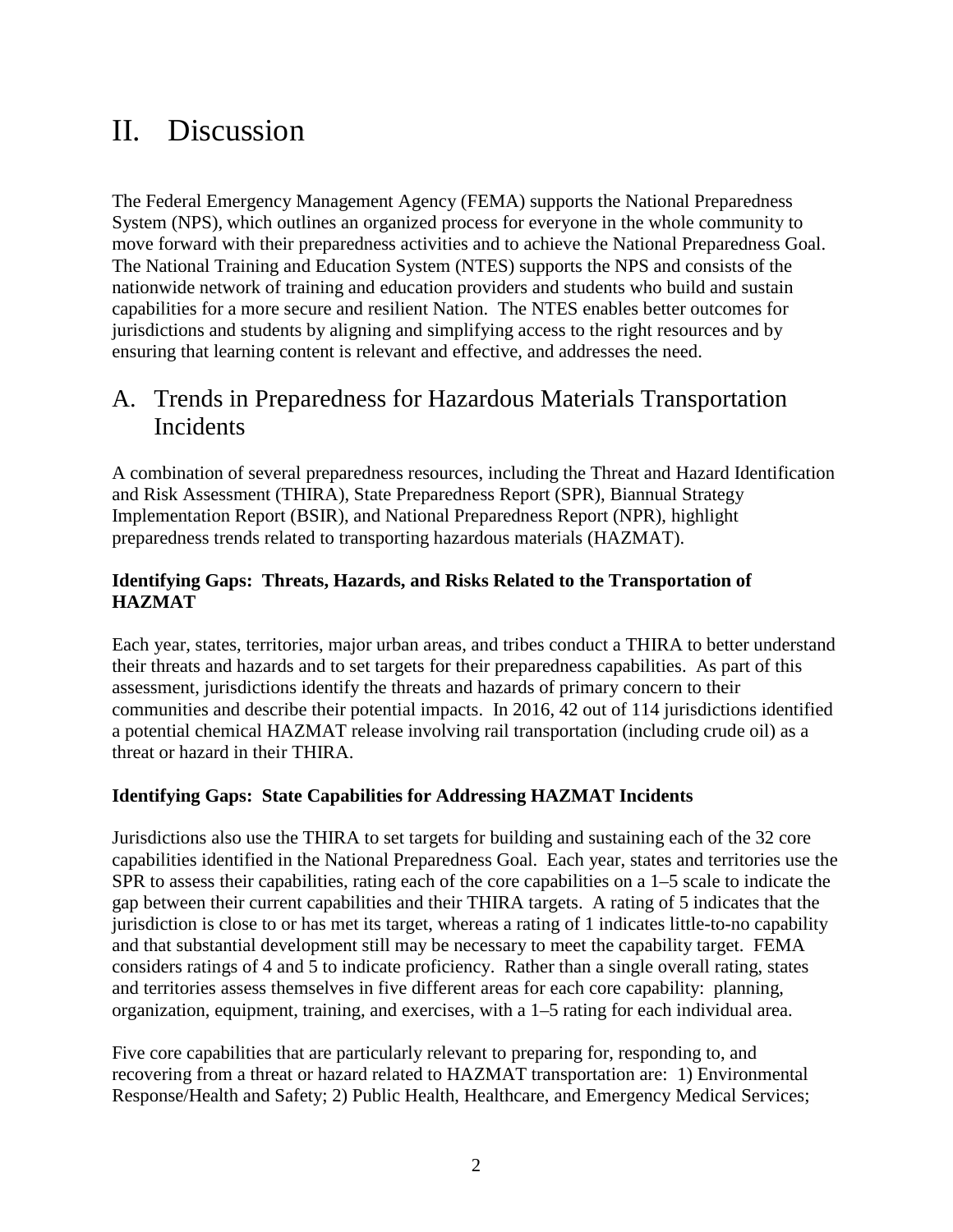# <span id="page-4-0"></span>II. Discussion

The Federal Emergency Management Agency (FEMA) supports the National Preparedness System (NPS), which outlines an organized process for everyone in the whole community to move forward with their preparedness activities and to achieve the National Preparedness Goal. The National Training and Education System (NTES) supports the NPS and consists of the nationwide network of training and education providers and students who build and sustain capabilities for a more secure and resilient Nation. The NTES enables better outcomes for jurisdictions and students by aligning and simplifying access to the right resources and by ensuring that learning content is relevant and effective, and addresses the need.

## <span id="page-4-1"></span>A. Trends in Preparedness for Hazardous Materials Transportation Incidents

A combination of several preparedness resources, including the Threat and Hazard Identification and Risk Assessment (THIRA), State Preparedness Report (SPR), Biannual Strategy Implementation Report (BSIR), and National Preparedness Report (NPR), highlight preparedness trends related to transporting hazardous materials (HAZMAT).

#### <span id="page-4-2"></span>**Identifying Gaps: Threats, Hazards, and Risks Related to the Transportation of HAZMAT**

Each year, states, territories, major urban areas, and tribes conduct a THIRA to better understand their threats and hazards and to set targets for their preparedness capabilities. As part of this assessment, jurisdictions identify the threats and hazards of primary concern to their communities and describe their potential impacts. In 2016, 42 out of 114 jurisdictions identified a potential chemical HAZMAT release involving rail transportation (including crude oil) as a threat or hazard in their THIRA.

#### <span id="page-4-3"></span>**Identifying Gaps: State Capabilities for Addressing HAZMAT Incidents**

Jurisdictions also use the THIRA to set targets for building and sustaining each of the 32 core capabilities identified in the National Preparedness Goal. Each year, states and territories use the SPR to assess their capabilities, rating each of the core capabilities on a 1–5 scale to indicate the gap between their current capabilities and their THIRA targets. A rating of 5 indicates that the jurisdiction is close to or has met its target, whereas a rating of 1 indicates little-to-no capability and that substantial development still may be necessary to meet the capability target. FEMA considers ratings of 4 and 5 to indicate proficiency. Rather than a single overall rating, states and territories assess themselves in five different areas for each core capability: planning, organization, equipment, training, and exercises, with a 1–5 rating for each individual area.

Five core capabilities that are particularly relevant to preparing for, responding to, and recovering from a threat or hazard related to HAZMAT transportation are: 1) Environmental Response/Health and Safety; 2) Public Health, Healthcare, and Emergency Medical Services;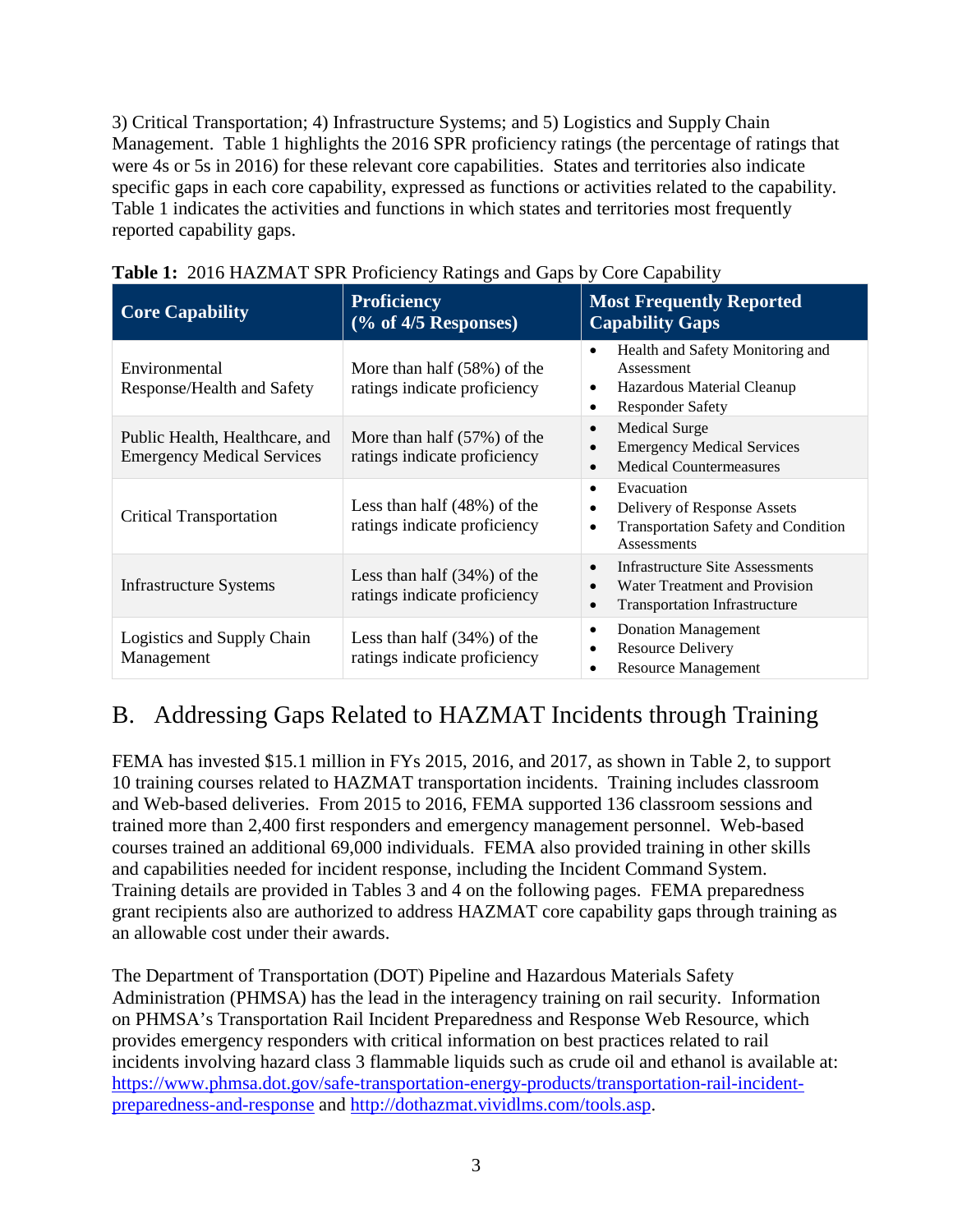3) Critical Transportation; 4) Infrastructure Systems; and 5) Logistics and Supply Chain Management. Table 1 highlights the 2016 SPR proficiency ratings (the percentage of ratings that were 4s or 5s in 2016) for these relevant core capabilities. States and territories also indicate specific gaps in each core capability, expressed as functions or activities related to the capability. Table 1 indicates the activities and functions in which states and territories most frequently reported capability gaps.

| <b>Core Capability</b>                                              | <b>Proficiency</b><br>$(\%$ of 4/5 Responses)                 | <b>Most Frequently Reported</b><br><b>Capability Gaps</b>                                                                                       |
|---------------------------------------------------------------------|---------------------------------------------------------------|-------------------------------------------------------------------------------------------------------------------------------------------------|
| Environmental<br>Response/Health and Safety                         | More than half $(58%)$ of the<br>ratings indicate proficiency | Health and Safety Monitoring and<br>$\bullet$<br>Assessment<br>Hazardous Material Cleanup<br>$\bullet$<br><b>Responder Safety</b><br>٠          |
| Public Health, Healthcare, and<br><b>Emergency Medical Services</b> | More than half $(57%)$ of the<br>ratings indicate proficiency | <b>Medical Surge</b><br>$\bullet$<br><b>Emergency Medical Services</b><br>$\epsilon$<br><b>Medical Countermeasures</b><br>$\bullet$             |
| <b>Critical Transportation</b>                                      | Less than half $(48%)$ of the<br>ratings indicate proficiency | Evacuation<br>$\bullet$<br>Delivery of Response Assets<br>$\bullet$<br><b>Transportation Safety and Condition</b><br>$\bullet$<br>Assessments   |
| <b>Infrastructure Systems</b>                                       | Less than half $(34%)$ of the<br>ratings indicate proficiency | Infrastructure Site Assessments<br>$\bullet$<br>Water Treatment and Provision<br>$\bullet$<br><b>Transportation Infrastructure</b><br>$\bullet$ |
| Logistics and Supply Chain<br>Management                            | Less than half $(34%)$ of the<br>ratings indicate proficiency | <b>Donation Management</b><br>$\bullet$<br><b>Resource Delivery</b><br>$\bullet$<br><b>Resource Management</b><br>٠                             |

| Table 1: 2016 HAZMAT SPR Proficiency Ratings and Gaps by Core Capability |  |  |
|--------------------------------------------------------------------------|--|--|
|                                                                          |  |  |

## <span id="page-5-0"></span>B. Addressing Gaps Related to HAZMAT Incidents through Training

FEMA has invested \$15.1 million in FYs 2015, 2016, and 2017, as shown in Table 2, to support 10 training courses related to HAZMAT transportation incidents. Training includes classroom and Web-based deliveries. From 2015 to 2016, FEMA supported 136 classroom sessions and trained more than 2,400 first responders and emergency management personnel. Web-based courses trained an additional 69,000 individuals. FEMA also provided training in other skills and capabilities needed for incident response, including the Incident Command System. Training details are provided in Tables 3 and 4 on the following pages. FEMA preparedness grant recipients also are authorized to address HAZMAT core capability gaps through training as an allowable cost under their awards.

The Department of Transportation (DOT) Pipeline and Hazardous Materials Safety Administration (PHMSA) has the lead in the interagency training on rail security. Information on PHMSA's Transportation Rail Incident Preparedness and Response Web Resource, which provides emergency responders with critical information on best practices related to rail incidents involving hazard class 3 flammable liquids such as crude oil and ethanol is available at: [https://www.phmsa.dot.gov/safe-transportation-energy-products/transportation-rail-incident](https://www.phmsa.dot.gov/safe-transportation-energy-products/transportation-rail-incident-preparedness-and-response)[preparedness-and-response](https://www.phmsa.dot.gov/safe-transportation-energy-products/transportation-rail-incident-preparedness-and-response) and [http://dothazmat.vividlms.com/tools.asp.](http://dothazmat.vividlms.com/tools.asp)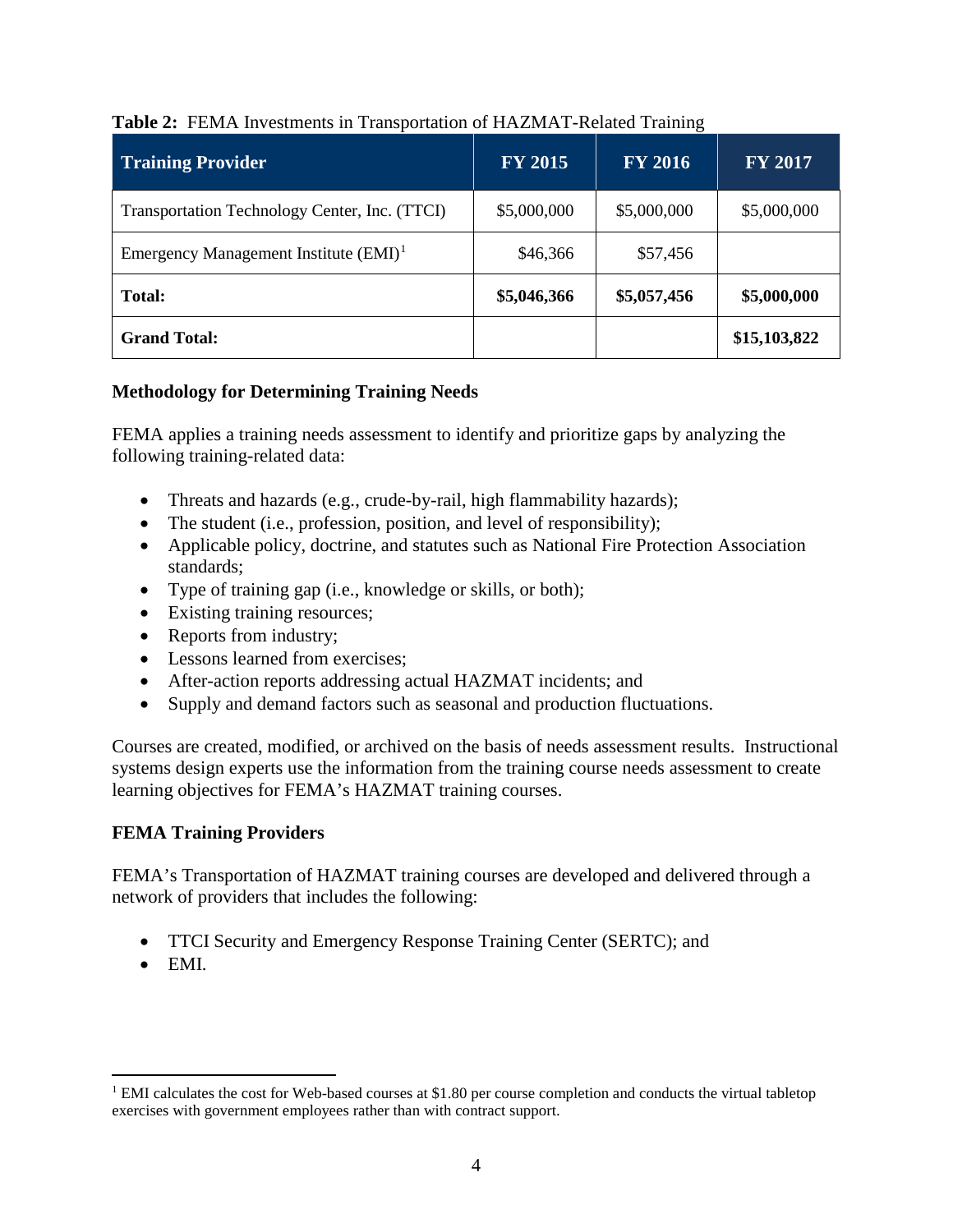| <b>Training Provider</b>                      | <b>FY 2015</b> | <b>FY 2016</b> | <b>FY 2017</b> |
|-----------------------------------------------|----------------|----------------|----------------|
| Transportation Technology Center, Inc. (TTCI) | \$5,000,000    | \$5,000,000    | \$5,000,000    |
| Emergency Management Institute $(EMI)^1$      | \$46,366       | \$57,456       |                |
| <b>Total:</b>                                 | \$5,046,366    | \$5,057,456    | \$5,000,000    |
| <b>Grand Total:</b>                           |                |                | \$15,103,822   |

#### **Table 2:** FEMA Investments in Transportation of HAZMAT-Related Training

#### <span id="page-6-0"></span>**Methodology for Determining Training Needs**

FEMA applies a training needs assessment to identify and prioritize gaps by analyzing the following training-related data:

- Threats and hazards (e.g., crude-by-rail, high flammability hazards);
- The student (i.e., profession, position, and level of responsibility);
- Applicable policy, doctrine, and statutes such as National Fire Protection Association standards;
- Type of training gap (i.e., knowledge or skills, or both);
- Existing training resources;
- Reports from industry;
- Lessons learned from exercises;
- After-action reports addressing actual HAZMAT incidents; and
- Supply and demand factors such as seasonal and production fluctuations.

Courses are created, modified, or archived on the basis of needs assessment results. Instructional systems design experts use the information from the training course needs assessment to create learning objectives for FEMA's HAZMAT training courses.

#### <span id="page-6-1"></span>**FEMA Training Providers**

FEMA's Transportation of HAZMAT training courses are developed and delivered through a network of providers that includes the following:

- TTCI Security and Emergency Response Training Center (SERTC); and
- EMI.

<span id="page-6-2"></span> $1$  EMI calculates the cost for Web-based courses at \$1.80 per course completion and conducts the virtual tabletop exercises with government employees rather than with contract support.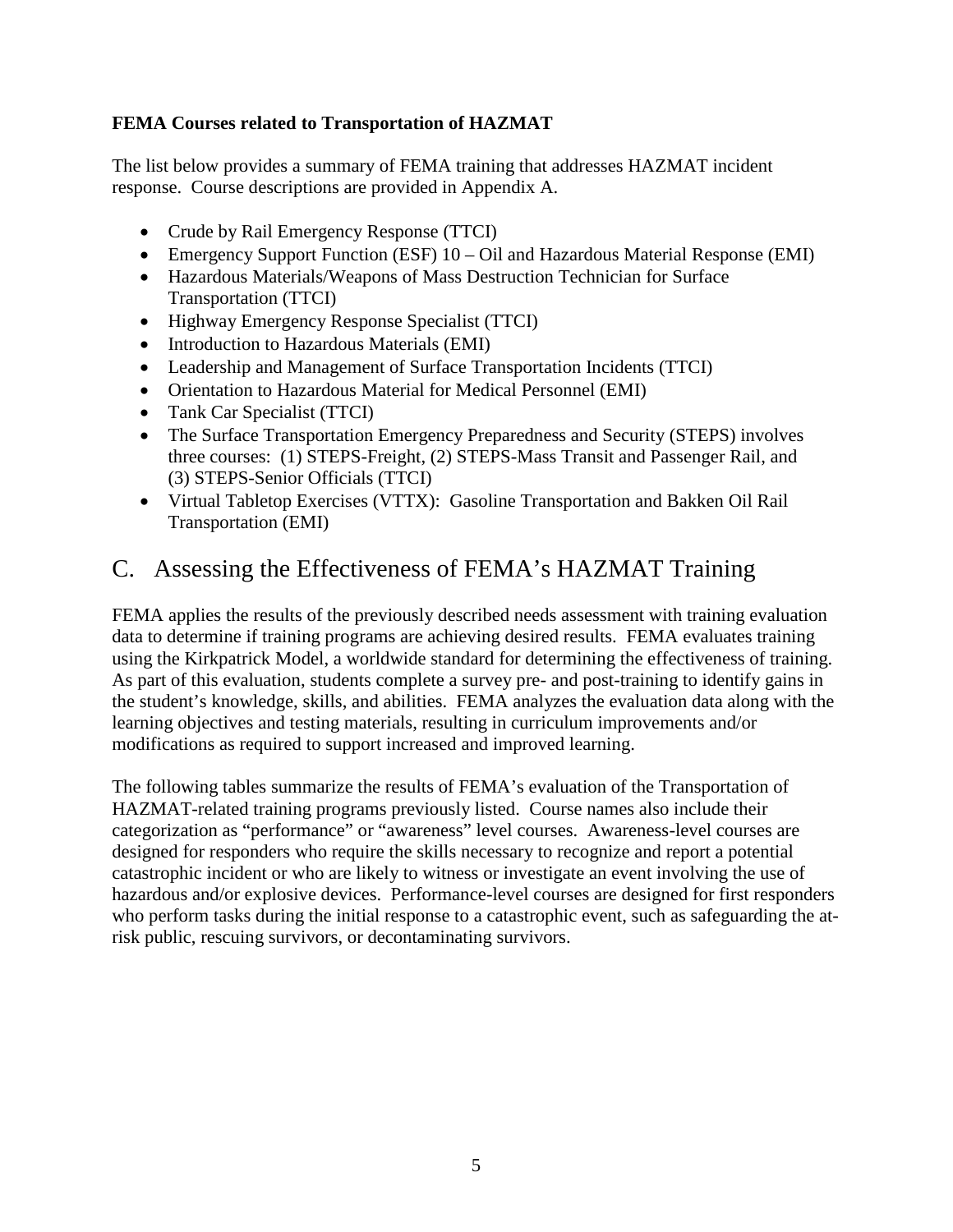#### <span id="page-7-0"></span>**FEMA Courses related to Transportation of HAZMAT**

The list below provides a summary of FEMA training that addresses HAZMAT incident response. Course descriptions are provided in Appendix A.

- Crude by Rail Emergency Response (TTCI)
- Emergency Support Function (ESF) 10 Oil and Hazardous Material Response (EMI)
- Hazardous Materials/Weapons of Mass Destruction Technician for Surface Transportation (TTCI)
- Highway Emergency Response Specialist (TTCI)
- Introduction to Hazardous Materials (EMI)
- Leadership and Management of Surface Transportation Incidents (TTCI)
- Orientation to Hazardous Material for Medical Personnel (EMI)
- Tank Car Specialist (TTCI)
- The Surface Transportation Emergency Preparedness and Security (STEPS) involves three courses: (1) STEPS-Freight, (2) STEPS-Mass Transit and Passenger Rail, and (3) STEPS-Senior Officials (TTCI)
- Virtual Tabletop Exercises (VTTX): Gasoline Transportation and Bakken Oil Rail Transportation (EMI)

## <span id="page-7-1"></span>C. Assessing the Effectiveness of FEMA's HAZMAT Training

FEMA applies the results of the previously described needs assessment with training evaluation data to determine if training programs are achieving desired results. FEMA evaluates training using the Kirkpatrick Model, a worldwide standard for determining the effectiveness of training. As part of this evaluation, students complete a survey pre- and post-training to identify gains in the student's knowledge, skills, and abilities. FEMA analyzes the evaluation data along with the learning objectives and testing materials, resulting in curriculum improvements and/or modifications as required to support increased and improved learning.

The following tables summarize the results of FEMA's evaluation of the Transportation of HAZMAT-related training programs previously listed. Course names also include their categorization as "performance" or "awareness" level courses. Awareness-level courses are designed for responders who require the skills necessary to recognize and report a potential catastrophic incident or who are likely to witness or investigate an event involving the use of hazardous and/or explosive devices. Performance-level courses are designed for first responders who perform tasks during the initial response to a catastrophic event, such as safeguarding the atrisk public, rescuing survivors, or decontaminating survivors.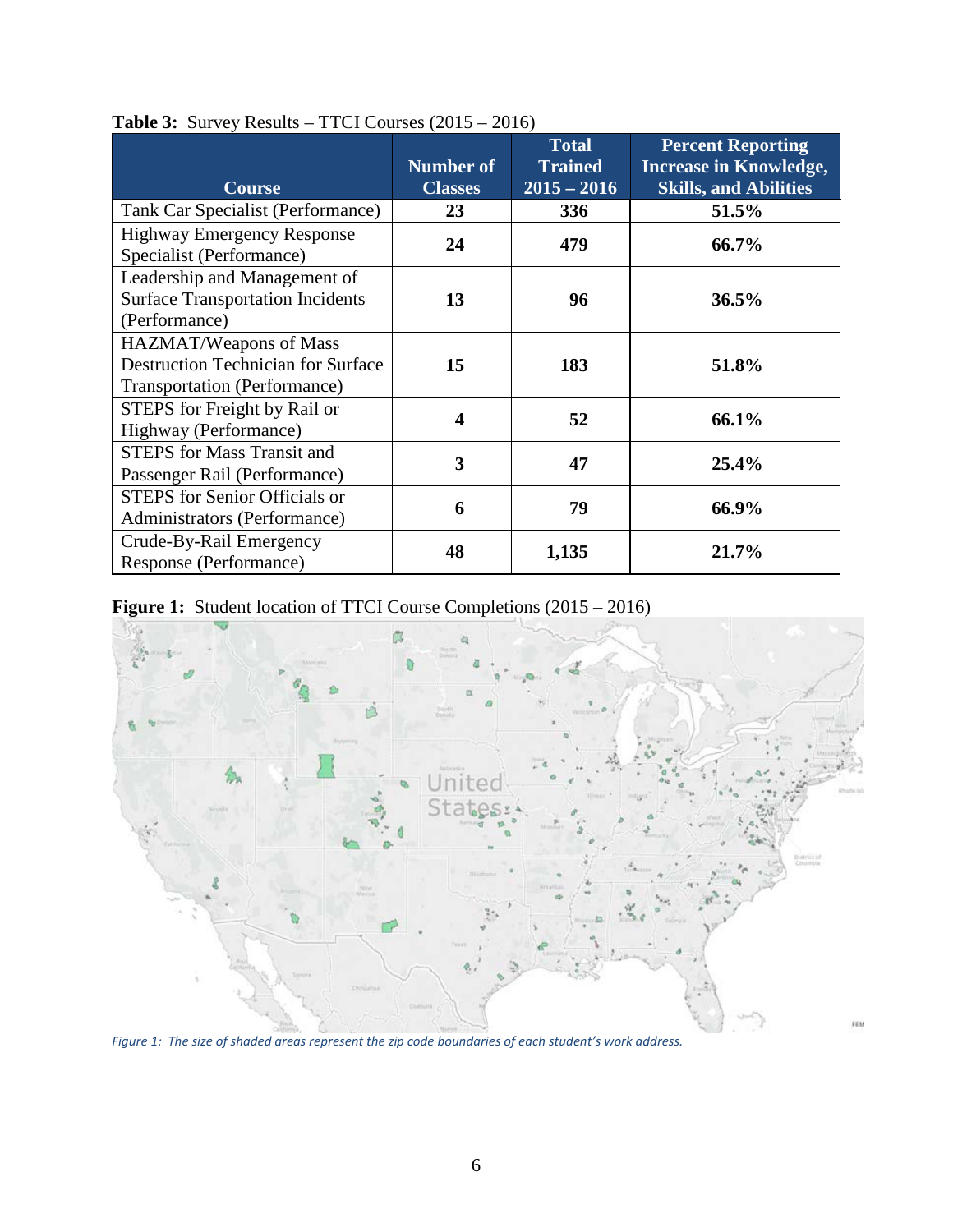| <b>Course</b>                                                                                              | <b>Number of</b><br><b>Classes</b> | <b>Total</b><br><b>Trained</b><br>$2015 - 2016$ | <b>Percent Reporting</b><br><b>Increase in Knowledge,</b><br><b>Skills, and Abilities</b> |
|------------------------------------------------------------------------------------------------------------|------------------------------------|-------------------------------------------------|-------------------------------------------------------------------------------------------|
| Tank Car Specialist (Performance)                                                                          | 23                                 | 336                                             | 51.5%                                                                                     |
| <b>Highway Emergency Response</b><br>Specialist (Performance)                                              | 24                                 | 479                                             | 66.7%                                                                                     |
| Leadership and Management of<br><b>Surface Transportation Incidents</b><br>(Performance)                   | 13                                 | 96                                              | 36.5%                                                                                     |
| HAZMAT/Weapons of Mass<br><b>Destruction Technician for Surface</b><br><b>Transportation (Performance)</b> | 15                                 | 183                                             | 51.8%                                                                                     |
| STEPS for Freight by Rail or<br>Highway (Performance)                                                      | 4                                  | 52                                              | 66.1%                                                                                     |
| <b>STEPS</b> for Mass Transit and<br>Passenger Rail (Performance)                                          | 3                                  | 47                                              | 25.4%                                                                                     |
| <b>STEPS</b> for Senior Officials or<br>Administrators (Performance)                                       | 6                                  | 79                                              | 66.9%                                                                                     |
| Crude-By-Rail Emergency<br>Response (Performance)                                                          | 48                                 | 1,135                                           | 21.7%                                                                                     |

#### **Table 3:** Survey Results – TTCI Courses (2015 – 2016)





*Figure 1: The size of shaded areas represent the zip code boundaries of each student's work address.*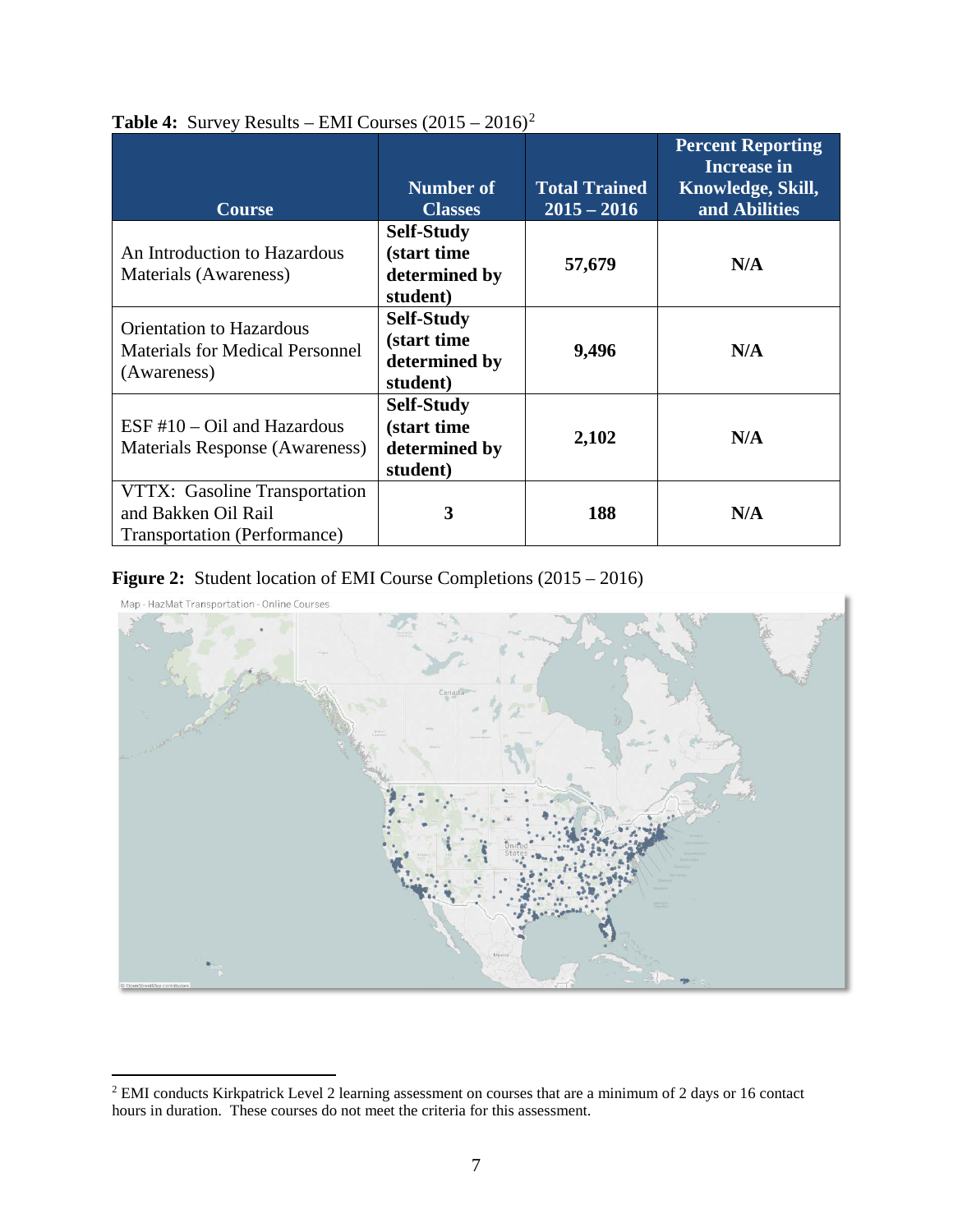|                                        |                           |                      | <b>Percent Reporting</b><br><b>Increase in</b> |
|----------------------------------------|---------------------------|----------------------|------------------------------------------------|
|                                        | Number of                 | <b>Total Trained</b> | Knowledge, Skill,                              |
| <b>Course</b>                          | <b>Classes</b>            | $2015 - 2016$        | and Abilities                                  |
| An Introduction to Hazardous           | <b>Self-Study</b>         |                      |                                                |
|                                        | (start time               | 57,679               | N/A                                            |
| Materials (Awareness)                  | determined by<br>student) |                      |                                                |
| <b>Orientation to Hazardous</b>        | <b>Self-Study</b>         |                      |                                                |
| <b>Materials for Medical Personnel</b> | (start time               | 9,496                | N/A                                            |
| (Awareness)                            | determined by             |                      |                                                |
|                                        | student)                  |                      |                                                |
|                                        | <b>Self-Study</b>         |                      |                                                |
| $ESF #10 - Oil$ and Hazardous          | (start time               |                      | N/A                                            |
| Materials Response (Awareness)         | determined by             | 2,102                |                                                |
|                                        | student)                  |                      |                                                |
| VTTX: Gasoline Transportation          |                           |                      |                                                |
| and Bakken Oil Rail                    | 3                         | 188                  | N/A                                            |
| Transportation (Performance)           |                           |                      |                                                |

#### **Table 4:** Survey Results – EMI Courses  $(2015 - 2016)^2$  $(2015 - 2016)^2$  $(2015 - 2016)^2$

#### **Figure 2:** Student location of EMI Course Completions (2015 – 2016)



Map - HazMat Transportation - Online Courses

<span id="page-9-0"></span><sup>&</sup>lt;sup>2</sup> EMI conducts Kirkpatrick Level 2 learning assessment on courses that are a minimum of 2 days or 16 contact hours in duration. These courses do not meet the criteria for this assessment.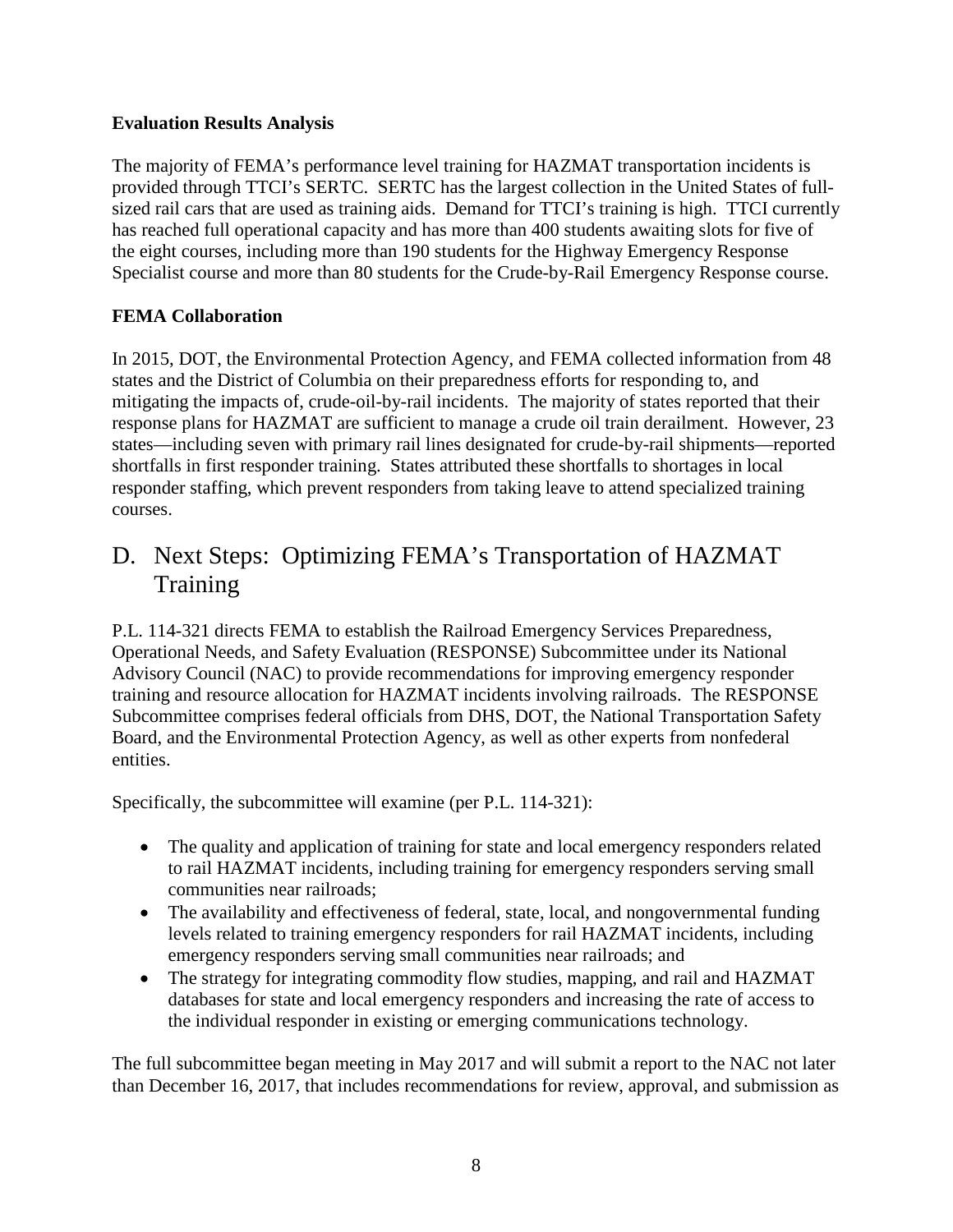#### <span id="page-10-0"></span>**Evaluation Results Analysis**

The majority of FEMA's performance level training for HAZMAT transportation incidents is provided through TTCI's SERTC. SERTC has the largest collection in the United States of fullsized rail cars that are used as training aids. Demand for TTCI's training is high. TTCI currently has reached full operational capacity and has more than 400 students awaiting slots for five of the eight courses, including more than 190 students for the Highway Emergency Response Specialist course and more than 80 students for the Crude-by-Rail Emergency Response course.

#### <span id="page-10-1"></span>**FEMA Collaboration**

In 2015, DOT, the Environmental Protection Agency, and FEMA collected information from 48 states and the District of Columbia on their preparedness efforts for responding to, and mitigating the impacts of, crude-oil-by-rail incidents. The majority of states reported that their response plans for HAZMAT are sufficient to manage a crude oil train derailment. However, 23 states—including seven with primary rail lines designated for crude-by-rail shipments—reported shortfalls in first responder training. States attributed these shortfalls to shortages in local responder staffing, which prevent responders from taking leave to attend specialized training courses.

## <span id="page-10-2"></span>D. Next Steps: Optimizing FEMA's Transportation of HAZMAT Training

P.L. 114-321 directs FEMA to establish the Railroad Emergency Services Preparedness, Operational Needs, and Safety Evaluation (RESPONSE) Subcommittee under its National Advisory Council (NAC) to provide recommendations for improving emergency responder training and resource allocation for HAZMAT incidents involving railroads. The RESPONSE Subcommittee comprises federal officials from DHS, DOT, the National Transportation Safety Board, and the Environmental Protection Agency, as well as other experts from nonfederal entities.

Specifically, the subcommittee will examine (per P.L. 114-321):

- The quality and application of training for state and local emergency responders related to rail HAZMAT incidents, including training for emergency responders serving small communities near railroads;
- The availability and effectiveness of federal, state, local, and nongovernmental funding levels related to training emergency responders for rail HAZMAT incidents, including emergency responders serving small communities near railroads; and
- The strategy for integrating commodity flow studies, mapping, and rail and HAZMAT databases for state and local emergency responders and increasing the rate of access to the individual responder in existing or emerging communications technology.

The full subcommittee began meeting in May 2017 and will submit a report to the NAC not later than December 16, 2017, that includes recommendations for review, approval, and submission as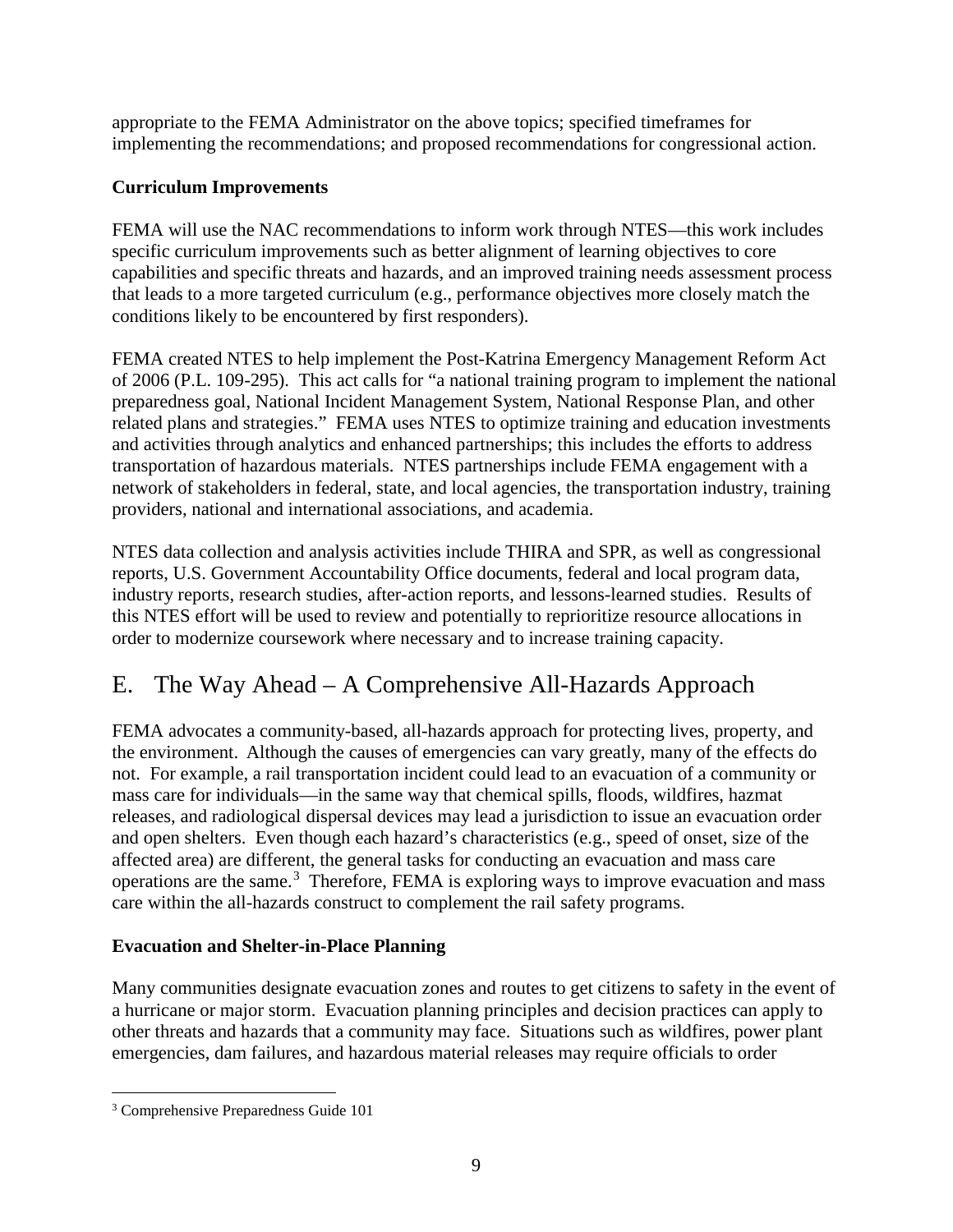appropriate to the FEMA Administrator on the above topics; specified timeframes for implementing the recommendations; and proposed recommendations for congressional action.

#### <span id="page-11-0"></span>**Curriculum Improvements**

FEMA will use the NAC recommendations to inform work through NTES—this work includes specific curriculum improvements such as better alignment of learning objectives to core capabilities and specific threats and hazards, and an improved training needs assessment process that leads to a more targeted curriculum (e.g., performance objectives more closely match the conditions likely to be encountered by first responders).

FEMA created NTES to help implement the Post-Katrina Emergency Management Reform Act of 2006 (P.L. 109-295). This act calls for "a national training program to implement the national preparedness goal, National Incident Management System, National Response Plan, and other related plans and strategies." FEMA uses NTES to optimize training and education investments and activities through analytics and enhanced partnerships; this includes the efforts to address transportation of hazardous materials. NTES partnerships include FEMA engagement with a network of stakeholders in federal, state, and local agencies, the transportation industry, training providers, national and international associations, and academia.

NTES data collection and analysis activities include THIRA and SPR, as well as congressional reports, U.S. Government Accountability Office documents, federal and local program data, industry reports, research studies, after-action reports, and lessons-learned studies. Results of this NTES effort will be used to review and potentially to reprioritize resource allocations in order to modernize coursework where necessary and to increase training capacity.

## <span id="page-11-1"></span>E. The Way Ahead – A Comprehensive All-Hazards Approach

FEMA advocates a community-based, all-hazards approach for protecting lives, property, and the environment. Although the causes of emergencies can vary greatly, many of the effects do not. For example, a rail transportation incident could lead to an evacuation of a community or mass care for individuals—in the same way that chemical spills, floods, wildfires, hazmat releases, and radiological dispersal devices may lead a jurisdiction to issue an evacuation order and open shelters. Even though each hazard's characteristics (e.g., speed of onset, size of the affected area) are different, the general tasks for conducting an evacuation and mass care operations are the same.<sup>[3](#page-11-3)</sup> Therefore, FEMA is exploring ways to improve evacuation and mass care within the all-hazards construct to complement the rail safety programs.

#### <span id="page-11-2"></span>**Evacuation and Shelter-in-Place Planning**

Many communities designate evacuation zones and routes to get citizens to safety in the event of a hurricane or major storm. Evacuation planning principles and decision practices can apply to other threats and hazards that a community may face. Situations such as wildfires, power plant emergencies, dam failures, and hazardous material releases may require officials to order

<span id="page-11-3"></span> <sup>3</sup> Comprehensive Preparedness Guide 101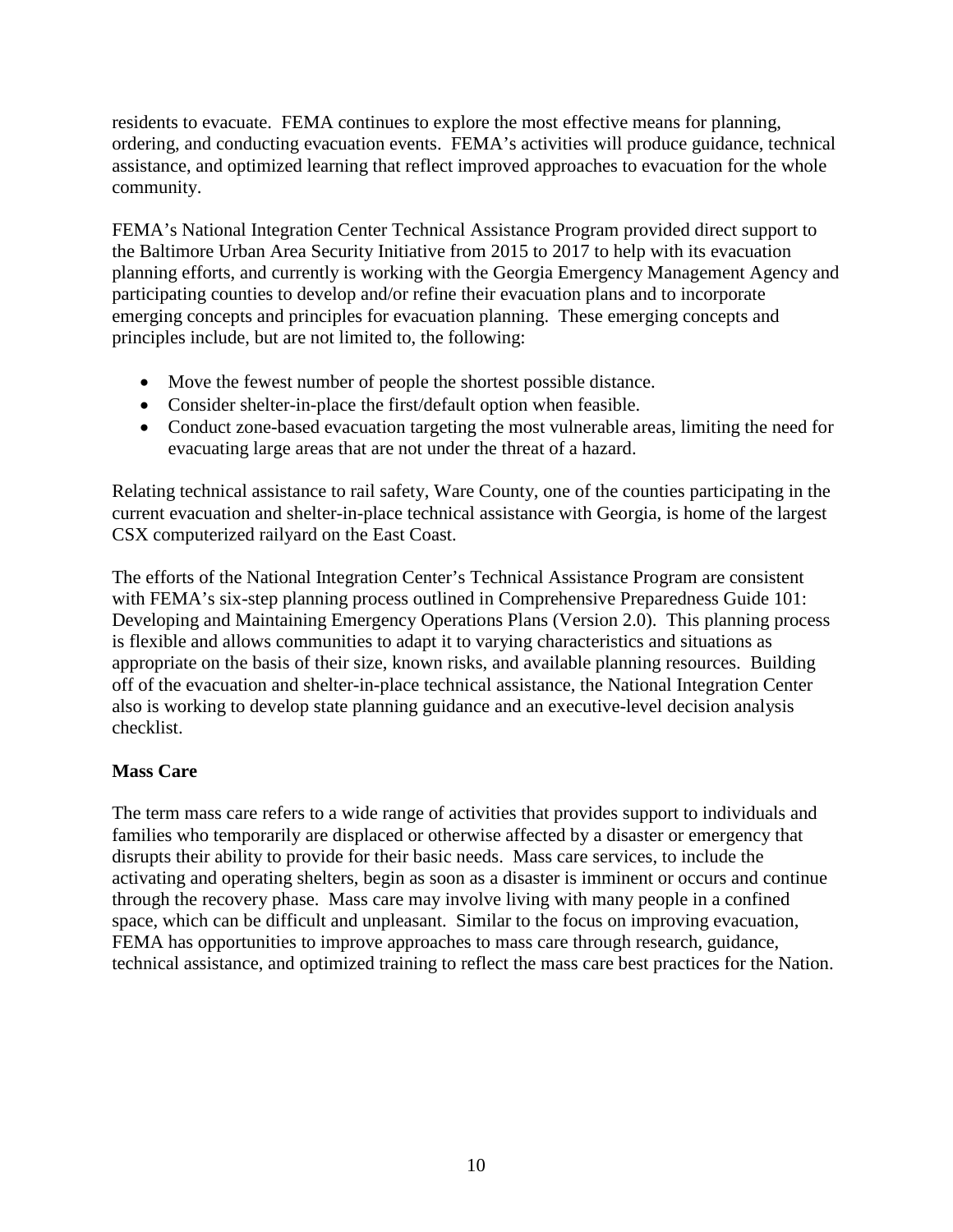residents to evacuate. FEMA continues to explore the most effective means for planning, ordering, and conducting evacuation events. FEMA's activities will produce guidance, technical assistance, and optimized learning that reflect improved approaches to evacuation for the whole community.

FEMA's National Integration Center Technical Assistance Program provided direct support to the Baltimore Urban Area Security Initiative from 2015 to 2017 to help with its evacuation planning efforts, and currently is working with the Georgia Emergency Management Agency and participating counties to develop and/or refine their evacuation plans and to incorporate emerging concepts and principles for evacuation planning. These emerging concepts and principles include, but are not limited to, the following:

- Move the fewest number of people the shortest possible distance.
- Consider shelter-in-place the first/default option when feasible.
- Conduct zone-based evacuation targeting the most vulnerable areas, limiting the need for evacuating large areas that are not under the threat of a hazard.

Relating technical assistance to rail safety, Ware County, one of the counties participating in the current evacuation and shelter-in-place technical assistance with Georgia, is home of the largest CSX computerized railyard on the East Coast.

The efforts of the National Integration Center's Technical Assistance Program are consistent with FEMA's six-step planning process outlined in Comprehensive Preparedness Guide 101: Developing and Maintaining Emergency Operations Plans (Version 2.0). This planning process is flexible and allows communities to adapt it to varying characteristics and situations as appropriate on the basis of their size, known risks, and available planning resources. Building off of the evacuation and shelter-in-place technical assistance, the National Integration Center also is working to develop state planning guidance and an executive-level decision analysis checklist.

#### <span id="page-12-0"></span>**Mass Care**

The term mass care refers to a wide range of activities that provides support to individuals and families who temporarily are displaced or otherwise affected by a disaster or emergency that disrupts their ability to provide for their basic needs. Mass care services, to include the activating and operating shelters, begin as soon as a disaster is imminent or occurs and continue through the recovery phase. Mass care may involve living with many people in a confined space, which can be difficult and unpleasant. Similar to the focus on improving evacuation, FEMA has opportunities to improve approaches to mass care through research, guidance, technical assistance, and optimized training to reflect the mass care best practices for the Nation.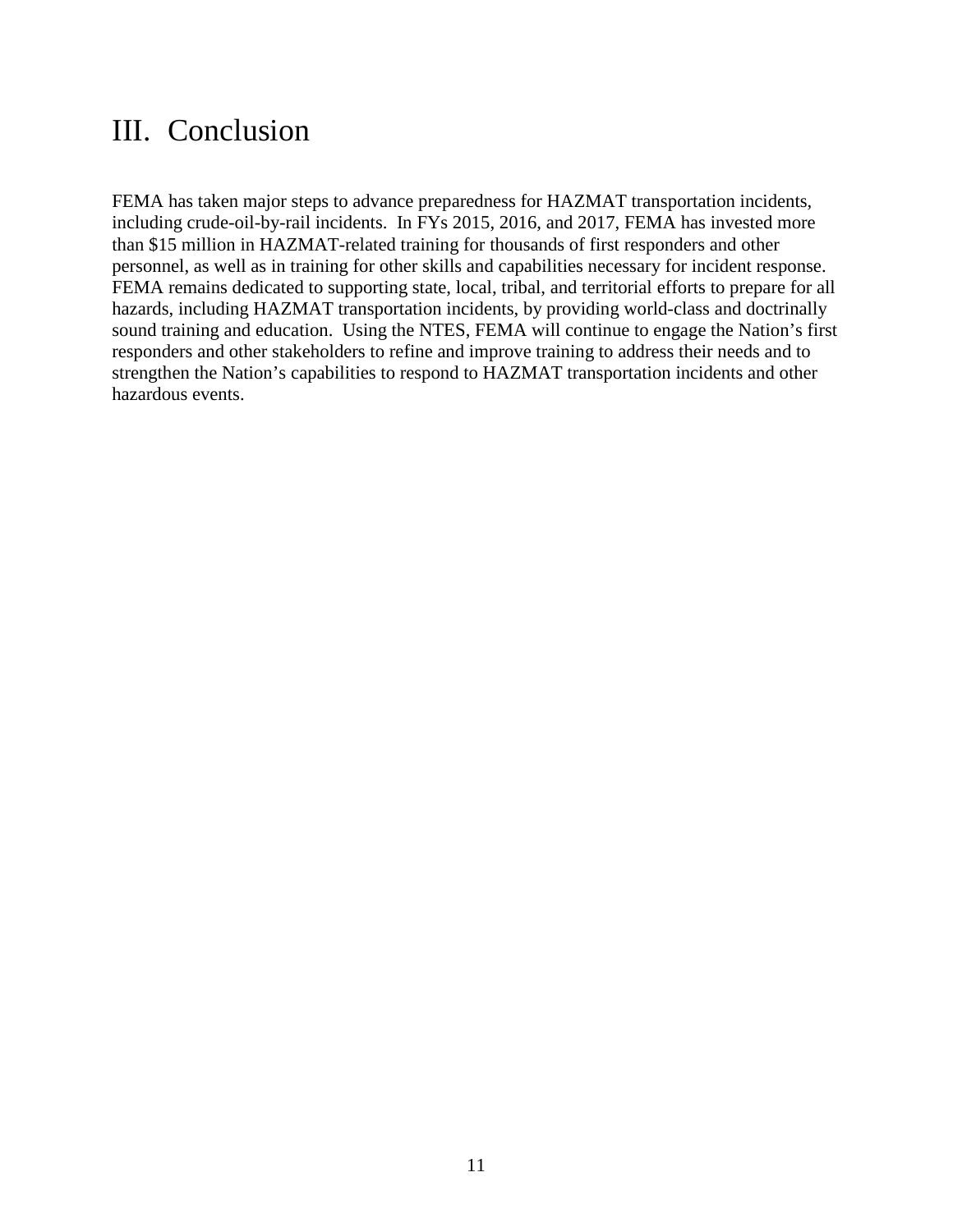## <span id="page-13-0"></span>III. Conclusion

FEMA has taken major steps to advance preparedness for HAZMAT transportation incidents, including crude-oil-by-rail incidents. In FYs 2015, 2016, and 2017, FEMA has invested more than \$15 million in HAZMAT-related training for thousands of first responders and other personnel, as well as in training for other skills and capabilities necessary for incident response. FEMA remains dedicated to supporting state, local, tribal, and territorial efforts to prepare for all hazards, including HAZMAT transportation incidents, by providing world-class and doctrinally sound training and education. Using the NTES, FEMA will continue to engage the Nation's first responders and other stakeholders to refine and improve training to address their needs and to strengthen the Nation's capabilities to respond to HAZMAT transportation incidents and other hazardous events.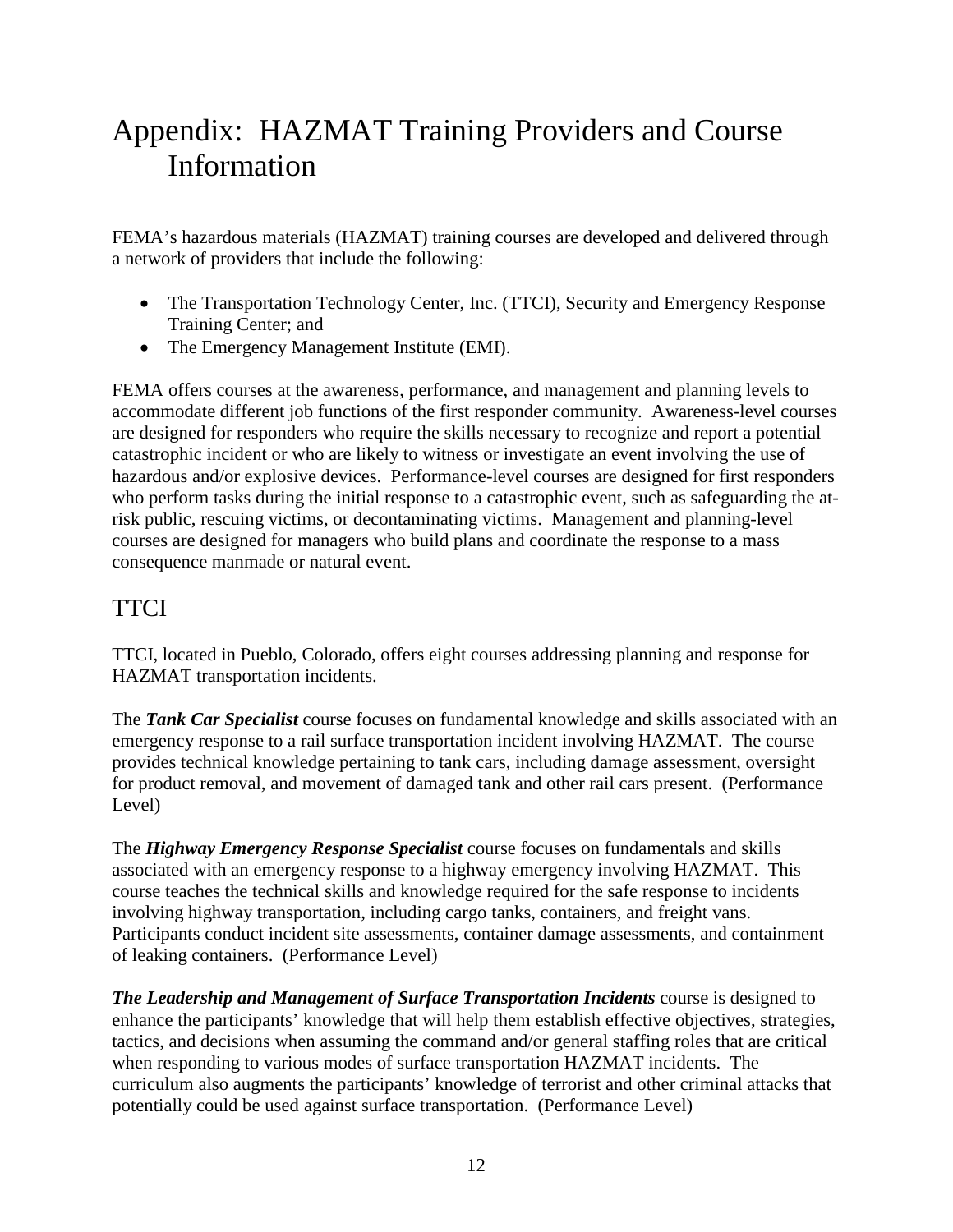# <span id="page-14-0"></span>Appendix: HAZMAT Training Providers and Course Information

FEMA's hazardous materials (HAZMAT) training courses are developed and delivered through a network of providers that include the following:

- The Transportation Technology Center, Inc. (TTCI), Security and Emergency Response Training Center; and
- The Emergency Management Institute (EMI).

FEMA offers courses at the awareness, performance, and management and planning levels to accommodate different job functions of the first responder community. Awareness-level courses are designed for responders who require the skills necessary to recognize and report a potential catastrophic incident or who are likely to witness or investigate an event involving the use of hazardous and/or explosive devices. Performance-level courses are designed for first responders who perform tasks during the initial response to a catastrophic event, such as safeguarding the atrisk public, rescuing victims, or decontaminating victims. Management and planning-level courses are designed for managers who build plans and coordinate the response to a mass consequence manmade or natural event.

### <span id="page-14-1"></span>**TTCI**

TTCI, located in Pueblo, Colorado, offers eight courses addressing planning and response for HAZMAT transportation incidents.

The *Tank Car Specialist* course focuses on fundamental knowledge and skills associated with an emergency response to a rail surface transportation incident involving HAZMAT. The course provides technical knowledge pertaining to tank cars, including damage assessment, oversight for product removal, and movement of damaged tank and other rail cars present. (Performance Level)

The *Highway Emergency Response Specialist* course focuses on fundamentals and skills associated with an emergency response to a highway emergency involving HAZMAT. This course teaches the technical skills and knowledge required for the safe response to incidents involving highway transportation, including cargo tanks, containers, and freight vans. Participants conduct incident site assessments, container damage assessments, and containment of leaking containers. (Performance Level)

*The Leadership and Management of Surface Transportation Incidents* course is designed to enhance the participants' knowledge that will help them establish effective objectives, strategies, tactics, and decisions when assuming the command and/or general staffing roles that are critical when responding to various modes of surface transportation HAZMAT incidents. The curriculum also augments the participants' knowledge of terrorist and other criminal attacks that potentially could be used against surface transportation. (Performance Level)